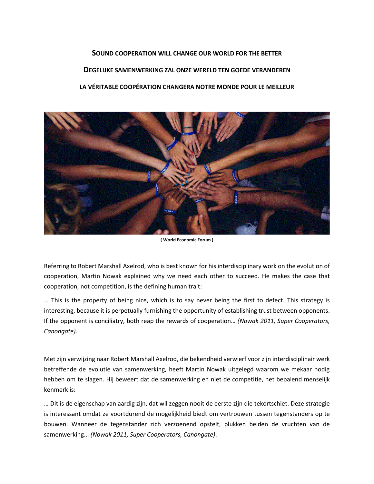## **SOUND COOPERATION WILL CHANGE OUR WORLD FOR THE BETTER DEGELIJKE SAMENWERKING ZAL ONZE WERELD TEN GOEDE VERANDEREN LA VÉRITABLE COOPÉRATION CHANGERA NOTRE MONDE POUR LE MEILLEUR**



**( World Economic Forum )**

Referring to Robert Marshall Axelrod, who is best known for his interdisciplinary work on the evolution of cooperation, Martin Nowak explained why we need each other to succeed. He makes the case that cooperation, not competition, is the defining human trait:

… This is the property of being nice, which is to say never being the first to defect. This strategy is interesting, because it is perpetually furnishing the opportunity of establishing trust between opponents. If the opponent is conciliatry, both reap the rewards of cooperation… *(Nowak 2011, Super Cooperators, Canongate)*.

Met zijn verwijzing naar Robert Marshall Axelrod, die bekendheid verwierf voor zijn interdisciplinair werk betreffende de evolutie van samenwerking, heeft Martin Nowak uitgelegd waarom we mekaar nodig hebben om te slagen. Hij beweert dat de samenwerking en niet de competitie, het bepalend menselijk kenmerk is:

… Dit is de eigenschap van aardig zijn, dat wil zeggen nooit de eerste zijn die tekortschiet. Deze strategie is interessant omdat ze voortdurend de mogelijkheid biedt om vertrouwen tussen tegenstanders op te bouwen. Wanneer de tegenstander zich verzoenend opstelt, plukken beiden de vruchten van de samenwerking... *(Nowak 2011, Super Cooperators, Canongate)*.